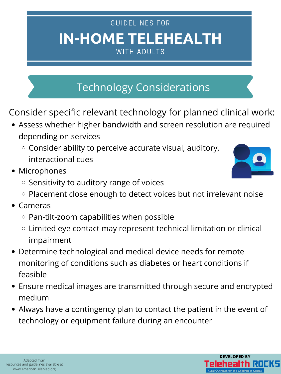# **IN-HOME TELEHEALTH** GUIDELINES FOR WITH ADULTS

- Cameras
	- $\circ$  Pan-tilt-zoom capabilities when possible
	- Limited eye contact may represent technical limitation or clinical  $\bigcirc$ impairment
- Determine technological and medical device needs for remote monitoring of conditions such as diabetes or heart conditions if feasible
- Ensure medical images are transmitted through secure and encrypted medium
- Always have a contingency plan to contact the patient in the event of technology or equipment failure during an encounter

Consider specific relevant technology for planned clinical work:

- Assess whether higher bandwidth and screen resolution are required depending on services
	- $\circ$  Consider ability to perceive accurate visual, auditory, interactional cues
- Microphones
	- $\circ$  Sensitivity to auditory range of voices
	- $\circ$  Placement close enough to detect voices but not irrelevant noise





# Technology Considerations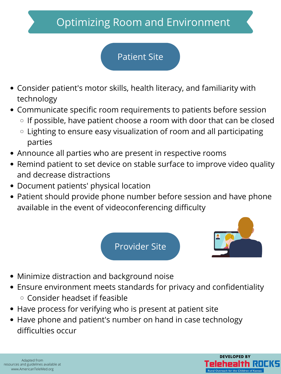

- Consider patient's motor skills, health literacy, and familiarity with technology
- Communicate specific room requirements to patients before session
	- $\circ$  If possible, have patient choose a room with door that can be closed
	- $\circ$  Lighting to ensure easy visualization of room and all participating parties
- Announce all parties who are present in respective rooms
- Remind patient to set device on stable surface to improve video quality and decrease distractions
- Document patients' physical location
- Patient should provide phone number before session and have phone available in the event of videoconferencing difficulty

- Minimize distraction and background noise
- Ensure environment meets standards for privacy and confidentiality  $\circ$  Consider headset if feasible
- Have process for verifying who is present at patient site
- Have phone and patient's number on hand in case technology difficulties occur

# Optimizing Room and Environment Patient Site

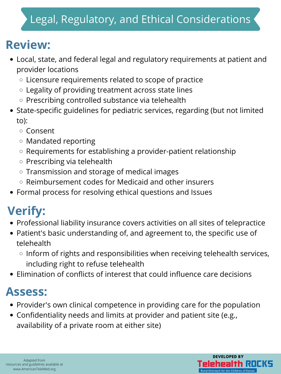# Legal, Regulatory, and Ethical Considerations

- Local, state, and federal legal and regulatory requirements at patient and provider locations
	- Licensure requirements related to scope of practice
	- Legality of providing treatment across state lines
	- $\circ$  Prescribing controlled substance via telehealth
- State-specific guidelines for pediatric services, regarding (but not limited to):
	- Consent
	- Mandated reporting
	- $\circ$  Requirements for establishing a provider-patient relationship
	- $\circ$  Prescribing via telehealth
	- $\circ$  Transmission and storage of medical images
	- Reimbursement codes for Medicaid and other insurers
- Formal process for resolving ethical questions and Issues

- Professional liability insurance covers activities on all sites of telepractice
- Patient's basic understanding of, and agreement to, the specific use of telehealth
	- $\circ$  Inform of rights and responsibilities when receiving telehealth services, including right to refuse telehealth
- Elimination of conflicts of interest that could influence care decisions

- Provider's own clinical competence in providing care for the population
- Confidentiality needs and limits at provider and patient site (e.g., availability of a private room at either site)

# **Review:**

# **Verify:**

## **Assess:**